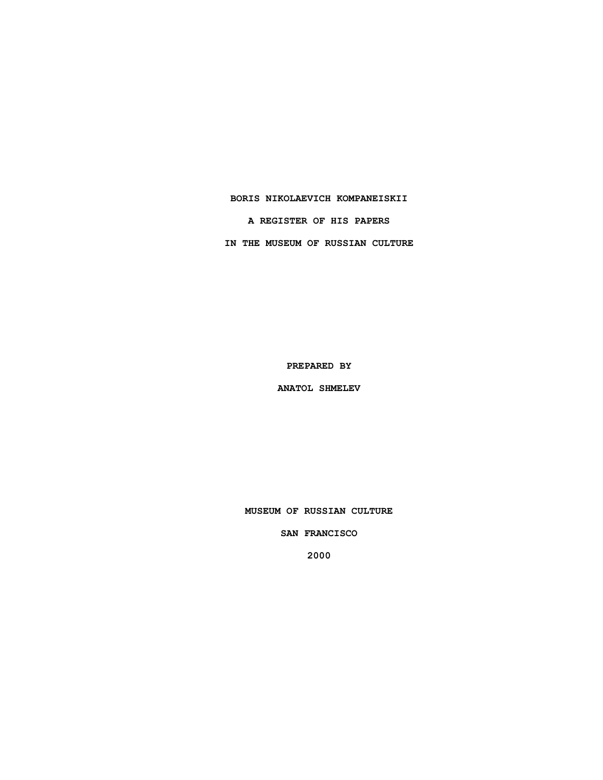### **BORIS NIKOLAEVICH KOMPANEISKII**

**A REGISTER OF HIS PAPERS**

**IN THE MUSEUM OF RUSSIAN CULTURE**

**PREPARED BY**

**ANATOL SHMELEV**

**MUSEUM OF RUSSIAN CULTURE**

**SAN FRANCISCO**

**2000**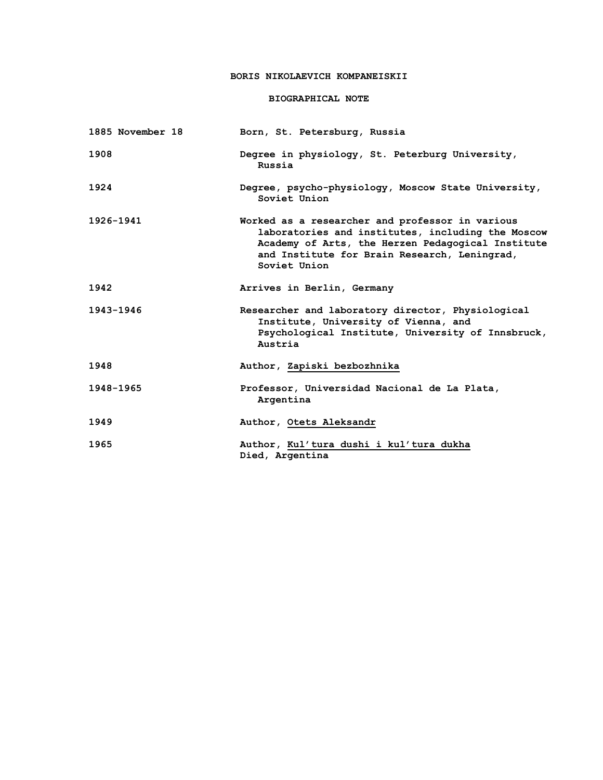## **BORIS NIKOLAEVICH KOMPANEISKII**

## **BIOGRAPHICAL NOTE**

| 1885 November 18 | Born, St. Petersburg, Russia                                                                                                                                                                                              |
|------------------|---------------------------------------------------------------------------------------------------------------------------------------------------------------------------------------------------------------------------|
| 1908             | Degree in physiology, St. Peterburg University,<br>Russia                                                                                                                                                                 |
| 1924             | Degree, psycho-physiology, Moscow State University,<br>Soviet Union                                                                                                                                                       |
| 1926-1941        | Worked as a researcher and professor in various<br>laboratories and institutes, including the Moscow<br>Academy of Arts, the Herzen Pedagogical Institute<br>and Institute for Brain Research, Leningrad,<br>Soviet Union |
| 1942             | Arrives in Berlin, Germany                                                                                                                                                                                                |
| 1943-1946        | Researcher and laboratory director, Physiological<br>Institute, University of Vienna, and<br>Psychological Institute, University of Innsbruck,<br>Austria                                                                 |
| 1948             | Author, Zapiski bezbozhnika                                                                                                                                                                                               |
| 1948-1965        | Professor, Universidad Nacional de La Plata,<br>Argentina                                                                                                                                                                 |
| 1949             | Author, Otets Aleksandr                                                                                                                                                                                                   |
| 1965             | Author, Kul'tura dushi i kul'tura dukha<br>Died, Argentina                                                                                                                                                                |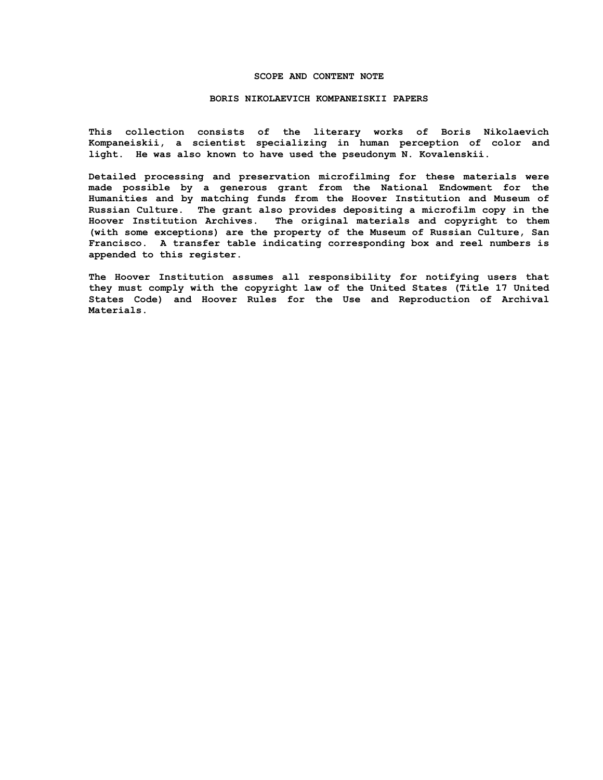### **SCOPE AND CONTENT NOTE**

#### **BORIS NIKOLAEVICH KOMPANEISKII PAPERS**

**This collection consists of the literary works of Boris Nikolaevich Kompaneiskii, a scientist specializing in human perception of color and light. He was also known to have used the pseudonym N. Kovalenskii.**

**Detailed processing and preservation microfilming for these materials were made possible by a generous grant from the National Endowment for the Humanities and by matching funds from the Hoover Institution and Museum of Russian Culture. The grant also provides depositing a microfilm copy in the Hoover Institution Archives. The original materials and copyright to them (with some exceptions) are the property of the Museum of Russian Culture, San Francisco. A transfer table indicating corresponding box and reel numbers is appended to this register.**

**The Hoover Institution assumes all responsibility for notifying users that they must comply with the copyright law of the United States (Title 17 United States Code) and Hoover Rules for the Use and Reproduction of Archival Materials.**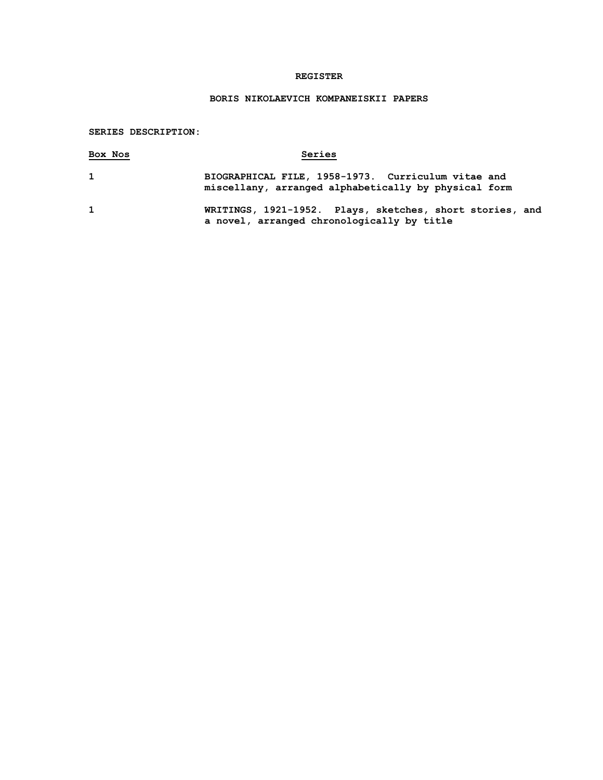## **REGISTER**

# **BORIS NIKOLAEVICH KOMPANEISKII PAPERS**

## **SERIES DESCRIPTION:**

| Box Nos      | Series                                                                                                     |
|--------------|------------------------------------------------------------------------------------------------------------|
| $\mathbf{1}$ | BIOGRAPHICAL FILE, 1958-1973. Curriculum vitae and<br>miscellany, arranged alphabetically by physical form |
| $\mathbf{1}$ | WRITINGS, 1921-1952. Plays, sketches, short stories, and<br>a novel, arranged chronologically by title     |